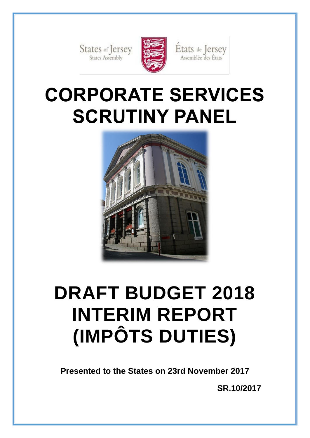States of Jersey



États de Jersey<br>Assemblée des États

# **CORPORATE SERVICES SCRUTINY PANEL**



# **DRAFT BUDGET 2018 INTERIM REPORT (IMPÔTS DUTIES)**

**Presented to the States on 23rd November 2017**

**SR.10/2017**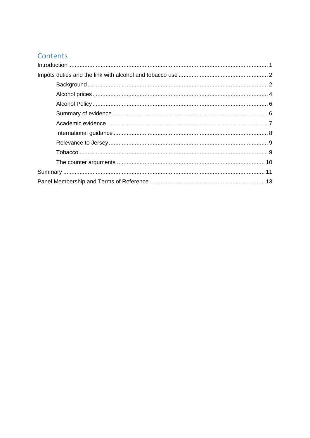# Contents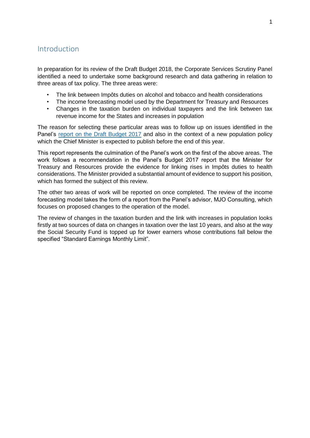## <span id="page-3-0"></span>Introduction

In preparation for its review of the Draft Budget 2018, the Corporate Services Scrutiny Panel identified a need to undertake some background research and data gathering in relation to three areas of tax policy. The three areas were:

- The link between Impôts duties on alcohol and tobacco and health considerations
- The income forecasting model used by the Department for Treasury and Resources
- Changes in the taxation burden on individual taxpayers and the link between tax revenue income for the States and increases in population

The reason for selecting these particular areas was to follow up on issues identified in the Panel's [report on the Draft Budget 2017](http://www.statesassembly.gov.je/scrutinyreports/2016/report-draft%20budget2017-9%20december2016.pdf) and also in the context of a new population policy which the Chief Minister is expected to publish before the end of this year.

This report represents the culmination of the Panel's work on the first of the above areas. The work follows a recommendation in the Panel's Budget 2017 report that the Minister for Treasury and Resources provide the evidence for linking rises in Impôts duties to health considerations. The Minister provided a substantial amount of evidence to support his position, which has formed the subject of this review.

The other two areas of work will be reported on once completed. The review of the income forecasting model takes the form of a report from the Panel's advisor, MJO Consulting, which focuses on proposed changes to the operation of the model.

The review of changes in the taxation burden and the link with increases in population looks firstly at two sources of data on changes in taxation over the last 10 years, and also at the way the Social Security Fund is topped up for lower earners whose contributions fall below the specified "Standard Earnings Monthly Limit".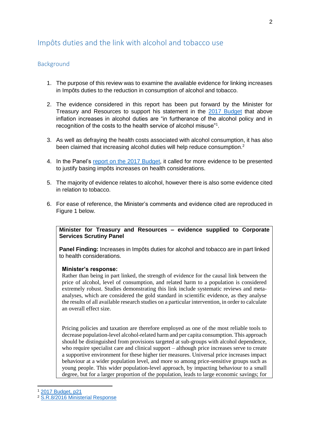## <span id="page-4-0"></span>Impôts duties and the link with alcohol and tobacco use

## <span id="page-4-1"></span>**Background**

- 1. The purpose of this review was to examine the available evidence for linking increases in Impôts duties to the reduction in consumption of alcohol and tobacco.
- 2. The evidence considered in this report has been put forward by the Minister for Treasury and Resources to support his statement in the [2017 Budget](https://www.gov.je/government/planningperformance/budgetaccounts/documents/draft%20budget%20statement%202017%20-%20final1.pdf) that above inflation increases in alcohol duties are "in furtherance of the alcohol policy and in recognition of the costs to the health service of alcohol misuse"<sup>1</sup>.
- 3. As well as defraying the health costs associated with alcohol consumption, it has also been claimed that increasing alcohol duties will help reduce consumption.<sup>2</sup>
- 4. In the Panel's [report on the 2017 Budget,](http://www.statesassembly.gov.je/scrutinyreports/2016/report-draft%20budget2017-9%20december2016.pdf) it called for more evidence to be presented to justify basing impôts increases on health considerations.
- 5. The majority of evidence relates to alcohol, however there is also some evidence cited in relation to tobacco.
- 6. For ease of reference, the Minister's comments and evidence cited are reproduced in Figure 1 below.

#### **Minister for Treasury and Resources – evidence supplied to Corporate Services Scrutiny Panel**

**Panel Finding:** Increases in Impôts duties for alcohol and tobacco are in part linked to health considerations.

#### **Minister's response:**

Rather than being in part linked, the strength of evidence for the causal link between the price of alcohol, level of consumption, and related harm to a population is considered extremely robust. Studies demonstrating this link include systematic reviews and metaanalyses, which are considered the gold standard in scientific evidence, as they analyse the results of all available research studies on a particular intervention, in order to calculate an overall effect size.

Pricing policies and taxation are therefore employed as one of the most reliable tools to decrease population-level alcohol-related harm and per capita consumption. This approach should be distinguished from provisions targeted at sub-groups with alcohol dependence, who require specialist care and clinical support – although price increases serve to create a supportive environment for these higher tier measures. Universal price increases impact behaviour at a wider population level, and more so among price-sensitive groups such as young people. This wider population-level approach, by impacting behaviour to a small degree, but for a larger proportion of the population, leads to large economic savings; for

<sup>1</sup> [2017 Budget, p21](https://www.gov.je/government/planningperformance/budgetaccounts/documents/draft%20budget%20statement%202017%20-%20final1.pdf)

<sup>2</sup> [S.R.8/2016 Ministerial Response](http://www.statesassembly.gov.je/scrutinyreports/2017/ministerial%20response-%20draft%20budget%202017-%2008%20february%202017.pdf)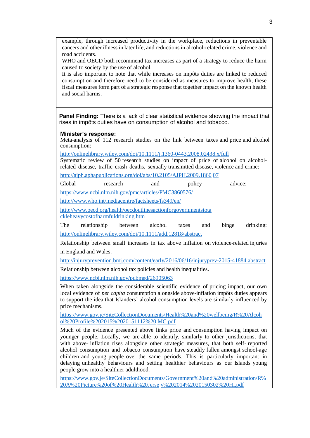example, through increased productivity in the workplace, reductions in preventable cancers and other illness in later life, and reductions in alcohol-related crime, violence and road accidents.

WHO and OECD both recommend tax increases as part of a strategy to reduce the harm caused to society by the use of alcohol.

It is also important to note that while increases on impôts duties are linked to reduced consumption and therefore need to be considered as measures to improve health, these fiscal measures form part of a strategic response that together impact on the known health and social harms.

**Panel Finding:** There is a lack of clear statistical evidence showing the impact that rises in impôts duties have on consumption of alcohol and tobacco.

#### **Minister's response:**

Meta-analysis of 112 research studies on the link between taxes and price and alcohol consumption:

http://onlinelibrary.wiley.com/doi/10.1111/j.1360[-0443.2008.02438.x/full](http://onlinelibrary.wiley.com/doi/10.1111/j.1360-0443.2008.02438.x/full)

Systematic review of 50 research studies on impact of price of alcohol on alcoholrelated disease, traffic crash deaths, sexually transmitted disease, violence and crime:

[http://ajph.aphapublications.org/doi/abs/10.2105/AJPH.2009.1860](http://ajph.aphapublications.org/doi/abs/10.2105/AJPH.2009.186007) [07](http://ajph.aphapublications.org/doi/abs/10.2105/AJPH.2009.186007)

Global research and policy advice:

<https://www.ncbi.nlm.nih.gov/pmc/articles/PMC3860576/>

<http://www.who.int/mediacentre/factsheets/fs349/en/>

[http://www.oecd.org/health/oecdoutlinesactionforgovernmentstota](http://www.oecd.org/health/oecdoutlinesactionforgovernmentstotackleheavycostofharmfuldrinking.htm) [ckleheavycostofharmfuldrinking.htm](http://www.oecd.org/health/oecdoutlinesactionforgovernmentstotackleheavycostofharmfuldrinking.htm)

The relationship between alcohol taxes and binge drinking: <http://onlinelibrary.wiley.com/doi/10.1111/add.12818/abstract>

Relationship between small increases in tax above inflation on violence-related injuries in England and Wales.

[http://injuryprevention.bmj.com/content/early/2016/06/16/injuryprev-2015-41884.abstract](http://injuryprevention.bmj.com/content/early/2016/06/16/injuryprev-2015-041884.abstract)

Relationship between alcohol tax policies and health inequalities.

<https://www.ncbi.nlm.nih.gov/pubmed/26905063>

When taken alongside the considerable scientific evidence of pricing impact, our own local evidence of *per capita* consumption alongside above-inflation impôts duties appears to support the idea that Islanders' alcohol consumption levels are similarly influenced by price mechanisms.

[https://www.gov.je/SiteCollectionDocuments/Health%20and%20wellbeing/R%20Alcoh](https://www.gov.je/SiteCollectionDocuments/Health%20and%20wellbeing/R%20Alcohol%20Profile%202015%2020151112%20MC.pdf) [ol%20Profile%202015%2020151112%20](https://www.gov.je/SiteCollectionDocuments/Health%20and%20wellbeing/R%20Alcohol%20Profile%202015%2020151112%20MC.pdf) [MC.pdf](https://www.gov.je/SiteCollectionDocuments/Health%20and%20wellbeing/R%20Alcohol%20Profile%202015%2020151112%20MC.pdf)

Much of the evidence presented above links price and consumption having impact on younger people. Locally, we are able to identify, similarly to other jurisdictions, that with above- inflation rises alongside other strategic measures, that both self- reported alcohol consumption and tobacco consumption have steadily fallen amongst school-age children and young people over the same periods. This is particularly important in delaying unhealthy behaviours and setting healthier behaviours as our Islands young people grow into a healthier adulthood.

[https://www.gov.je/SiteCollectionDocuments/Government%20and%20administration/R%](https://www.gov.je/SiteCollectionDocuments/Government%20and%20administration/R%20A%20Picture%20of%20Health%20Jersey%202014%2020150302%20HI.pdf) [20A%20Picture%20of%20Health%20Jerse](https://www.gov.je/SiteCollectionDocuments/Government%20and%20administration/R%20A%20Picture%20of%20Health%20Jersey%202014%2020150302%20HI.pdf) [y%202014%2020150302%20HI.pdf](https://www.gov.je/SiteCollectionDocuments/Government%20and%20administration/R%20A%20Picture%20of%20Health%20Jersey%202014%2020150302%20HI.pdf)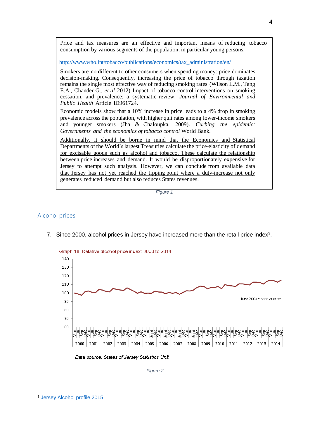Price and tax measures are an effective and important means of reducing tobacco consumption by various segments of the population, in particular young persons.

[http://www.who.int/tobacco/publications/economics/tax\\_administration/en/](http://www.who.int/tobacco/publications/economics/tax_administration/en/)

Smokers are no different to other consumers when spending money: price dominates decision-making. Consequently, increasing the price of tobacco through taxation remains the single most effective way of reducing smoking rates (Wilson L.M., Tang E.A., Chander G., *et al* 2012) Impact of tobacco control interventions on smoking cessation, and prevalence: a systematic review. *Journal of Environmental and Public Health* Article ID961724.

Economic models show that a 10% increase in price leads to a 4% drop in smoking prevalence across the population, with higher quit rates among lower-income smokers and younger smokers (Jha & Chaloupka, 2009). *Curbing the epidemic: Governments and the economics of tobacco control* World Bank.

Additionally, it should be borne in mind that the Economics and Statistical Departments of the World's largest Treasuries calculate the price-elasticity of demand for excisable goods such as alcohol and tobacco. These calculate the relationship between price increases and demand. It would be disproportionately expensive for Jersey to attempt such analysis. However, we can conclude from available data that Jersey has not yet reached the tipping point where a duty-increase not only generates reduced demand but also reduces States revenues.

*Figure 1*

### <span id="page-6-0"></span>Alcohol prices



7. Since 2000, alcohol prices in Jersey have increased more than the retail price index $3$ .

Data source: States of Jersey Statistics Unit

*Figure 2*

<sup>-</sup><sup>3</sup> [Jersey Alcohol profile 2015](https://www.gov.je/sitecollectiondocuments/health%20and%20wellbeing/r%20alcohol%20profile%202015%2020151112%20mc.pdf)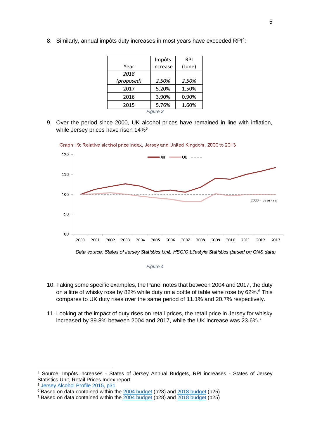|            | Impôts   | <b>RPI</b> |  |
|------------|----------|------------|--|
| Year       | increase | (June)     |  |
| 2018       |          |            |  |
| (proposed) | 2.50%    | 2.50%      |  |
| 2017       | 5.20%    | 1.50%      |  |
| 2016       | 3.90%    | 0.90%      |  |
| 2015       | 5.76%    | 1.60%      |  |
| Figure 3   |          |            |  |

8. Similarly, annual impôts duty increases in most years have exceeded RPI<sup>4</sup>:

9. Over the period since 2000, UK alcohol prices have remained in line with inflation, while Jersey prices have risen 14%<sup>5</sup>



Graph 19: Relative alcohol price index, Jersey and United Kingdom, 2000 to 2013

*Figure 4*

- 10. Taking some specific examples, the Panel notes that between 2004 and 2017, the duty on a litre of whisky rose by 82% while duty on a bottle of table wine rose by 62%.<sup>6</sup> This compares to UK duty rises over the same period of 11.1% and 20.7% respectively.
- 11. Looking at the impact of duty rises on retail prices, the retail price in Jersey for whisky increased by 39.8% between 2004 and 2017, while the UK increase was 23.6%.<sup>7</sup>

<sup>4</sup> Source: Impôts increases - States of Jersey Annual Budgets, RPI increases - States of Jersey Statistics Unit, Retail Prices Index report

<sup>5</sup> [Jersey Alcohol Profile 2015,](https://www.gov.je/sitecollectiondocuments/health%20and%20wellbeing/r%20alcohol%20profile%202015%2020151112%20mc.pdf) p31

<sup>&</sup>lt;sup>6</sup> Based on data contained within the [2004 budget](https://www.gov.je/SiteCollectionDocuments/Government%20and%20administration/FD%20BudgetStmt2004%2020031031%20TR.pdf) (p28) and [2018 budget](http://www.statesassembly.gov.je/assemblypropositions/2017/p.90-2017%20full%20budget%20statement.pdf?_ga=2.194905965.1166481313.1511176639-299180973.1507796881) (p25)

<sup>7</sup> Based on data contained within the [2004 budget](https://www.gov.je/SiteCollectionDocuments/Government%20and%20administration/FD%20BudgetStmt2004%2020031031%20TR.pdf) (p28) and [2018 budget](http://www.statesassembly.gov.je/assemblypropositions/2017/p.90-2017%20full%20budget%20statement.pdf?_ga=2.194905965.1166481313.1511176639-299180973.1507796881) (p25)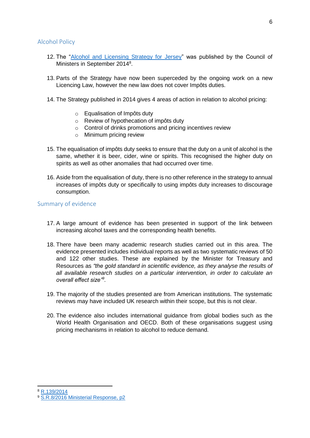#### <span id="page-8-0"></span>Alcohol Policy

- 12. The ["Alcohol and Licensing Strategy for Jersey"](http://www.statesassembly.gov.je/assemblyreports/2014/r.139-2014.pdf) was published by the Council of Ministers in September 2014<sup>8</sup>.
- 13. Parts of the Strategy have now been superceded by the ongoing work on a new Licencing Law, however the new law does not cover Impôts duties.
- 14. The Strategy published in 2014 gives 4 areas of action in relation to alcohol pricing:
	- o Equalisation of Impôts duty
	- o Review of hypothecation of impôts duty
	- o Control of drinks promotions and pricing incentives review
	- o Minimum pricing review
- 15. The equalisation of impôts duty seeks to ensure that the duty on a unit of alcohol is the same, whether it is beer, cider, wine or spirits. This recognised the higher duty on spirits as well as other anomalies that had occurred over time.
- 16. Aside from the equalisation of duty, there is no other reference in the strategy to annual increases of impôts duty or specifically to using impôts duty increases to discourage consumption.

#### <span id="page-8-1"></span>Summary of evidence

- 17. A large amount of evidence has been presented in support of the link between increasing alcohol taxes and the corresponding health benefits.
- 18. There have been many academic research studies carried out in this area. The evidence presented includes individual reports as well as two systematic reviews of 50 and 122 other studies. These are explained by the Minister for Treasury and Resources as *"the gold standard in scientific evidence, as they analyse the results of all available research studies on a particular intervention, in order to calculate an overall effect size"<sup>9</sup> .*
- 19. The majority of the studies presented are from American institutions. The systematic reviews may have included UK research within their scope, but this is not clear.
- 20. The evidence also includes international guidance from global bodies such as the World Health Organisation and OECD. Both of these organisations suggest using pricing mechanisms in relation to alcohol to reduce demand.

<sup>8</sup> [R.139/2014](http://www.statesassembly.gov.je/assemblyreports/2014/r.139-2014.pdf)

<sup>9</sup> [S.R.8/2016 Ministerial Response, p2](http://www.statesassembly.gov.je/ScrutinyReports/2017/Ministerial%20Response-%20Draft%20Budget%202017-%2008%20February%202017.pdf)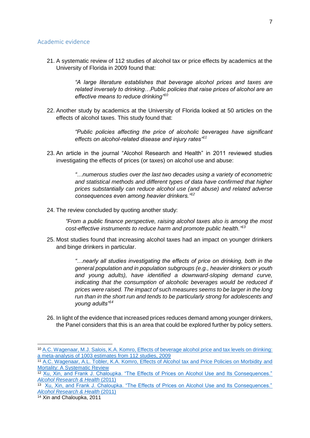#### <span id="page-9-0"></span>Academic evidence

21. A systematic review of 112 studies of alcohol tax or price effects by academics at the University of Florida in 2009 found that:

> *"A large literature establishes that beverage alcohol prices and taxes are related inversely to drinking…Public policies that raise prices of alcohol are an effective means to reduce drinking"<sup>10</sup>*

22. Another study by academics at the University of Florida looked at 50 articles on the effects of alcohol taxes. This study found that:

> *"Public policies affecting the price of alcoholic beverages have significant effects on alcohol-related disease and injury rates"<sup>11</sup>*

23. An article in the journal "Alcohol Research and Health" in 2011 reviewed studies investigating the effects of prices (or taxes) on alcohol use and abuse:

> *"…numerous studies over the last two decades using a variety of econometric and statistical methods and different types of data have confirmed that higher prices substantially can reduce alcohol use (and abuse) and related adverse consequences even among heavier drinkers."<sup>12</sup>*

24. The review concluded by quoting another study:

*"From a public finance perspective, raising alcohol taxes also is among the most cost-effective instruments to reduce harm and promote public health."<sup>13</sup>*

25. Most studies found that increasing alcohol taxes had an impact on younger drinkers and binge drinkers in particular.

> *"…nearly all studies investigating the effects of price on drinking, both in the general population and in population subgroups (e.g., heavier drinkers or youth and young adults), have identified a downward-sloping demand curve, indicating that the consumption of alcoholic beverages would be reduced if prices were raised. The impact of such measures seems to be larger in the long run than in the short run and tends to be particularly strong for adolescents and young adults"<sup>14</sup>*

26. In light of the evidence that increased prices reduces demand among younger drinkers, the Panel considers that this is an area that could be explored further by policy setters.

<sup>10</sup> A.C. Wagenaar, [M.J. Salois, K.A. Komro, Effects of beverage alcohol price and tax levels on drinking:](http://onlinelibrary.wiley.com/doi/10.1111/j.1360-0443.2008.02438.x/full)  [a meta-analysis of 1003 estimates from 112 studies, 2009](http://onlinelibrary.wiley.com/doi/10.1111/j.1360-0443.2008.02438.x/full)

<sup>11</sup> [A.C. Wagenaar, A.L. Tobler, K.A. Komro, Effects of Alcohol tax and Price Policies on Morbidity and](http://ajph.aphapublications.org/doi/abs/10.2105/AJPH.2009.186007)  [Mortality: A Systematic Review](http://ajph.aphapublications.org/doi/abs/10.2105/AJPH.2009.186007)

<sup>&</sup>lt;sup>12</sup> Xu, Xin, and Frank J. Chaloupka. "The Effects of Prices on Alcohol Use and Its Consequences." *[Alcohol Research & Health](https://www.ncbi.nlm.nih.gov/pmc/articles/PMC3860576/)* (2011)

<sup>13</sup> Xu, Xin, and Frank J. Chaloupka. "The Effects of Prices on Alcohol Use and Its Consequences." *[Alcohol Research & Health](https://www.ncbi.nlm.nih.gov/pmc/articles/PMC3860576/)* (2011)

<sup>&</sup>lt;sup>14</sup> Xin and Chaloupka, 2011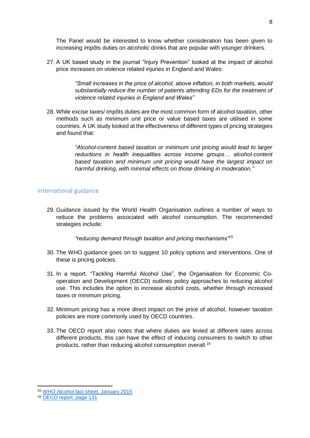The Panel would be interested to know whether consideration has been given to increasing impôts duties on alcoholic drinks that are popular with younger drinkers.

27. A UK based study in the journal "Injury Prevention" looked at the impact of alcohol price increases on violence related injuries in England and Wales:

> *"Small increases in the price of alcohol, above inflation, in both markets, would substantially reduce the number of patients attending EDs for the treatment of violence related injuries in England and Wales"*

28. While excise taxes/ impôts duties are the most common form of alcohol taxation, other methods such as minimum unit price or value based taxes are utilised in some countries. A UK study looked at the effectiveness of different types of pricing strategies and found that:

> *"Alcohol-content based taxation or minimum unit pricing would lead to larger reductions in health inequalities across income groups… alcohol-content based taxation and minimum unit pricing would have the largest impact on harmful drinking, with minimal effects on those drinking in moderation."*

#### <span id="page-10-0"></span>International guidance

29. Guidance issued by the World Health Organisation outlines a number of ways to reduce the problems associated with alcohol consumption. The recommended strategies include:

*"reducing demand through taxation and pricing mechanisms"<sup>15</sup>*

- 30. The WHO guidance goes on to suggest 10 policy options and interventions. One of these is pricing policies.
- 31. In a report, "Tackling Harmful Alcohol Use", the Organisation for Economic Cooperation and Development (OECD) outlines policy approaches to reducing alcohol use. This includes the option to increase alcohol costs, whether through increased taxes or minimum pricing.
- 32. Minimum pricing has a more direct impact on the price of alcohol, however taxation policies are more commonly used by OECD countries.
- 33. The OECD report also notes that where duties are levied at different rates across different products, this can have the effect of inducing consumers to switch to other products, rather than reducing alcohol consumption overall.<sup>16</sup>

<sup>15</sup> [WHO Alcohol fact sheet, January 2015](http://www.who.int/mediacentre/factsheets/fs349/en/)

<sup>16</sup> [OECD report, page 131](http://www.keepeek.com/Digital-Asset-Management/oecd/social-issues-migration-health/tackling-harmful-alcohol-use_9789264181069-en#page133)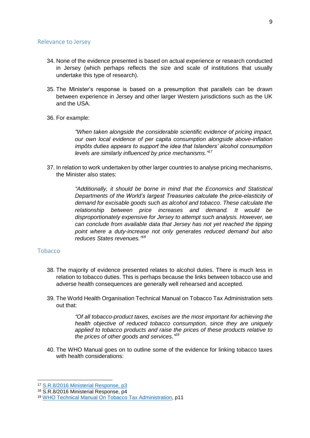#### <span id="page-11-0"></span>Relevance to Jersey

- 34. None of the evidence presented is based on actual experience or research conducted in Jersey (which perhaps reflects the size and scale of institutions that usually undertake this type of research).
- 35. The Minister's response is based on a presumption that parallels can be drawn between experience in Jersey and other larger Western jurisdictions such as the UK and the USA.
- 36. For example:

*"When taken alongside the considerable scientific evidence of pricing impact, our own local evidence of per capita consumption alongside above-inflation impôts duties appears to support the idea that Islanders' alcohol consumption levels are similarly influenced by price mechanisms." 17*

37. In relation to work undertaken by other larger countries to analyse pricing mechanisms, the Minister also states:

> *"Additionally, it should be borne in mind that the Economics and Statistical Departments of the World's largest Treasuries calculate the price-elasticity of demand for excisable goods such as alcohol and tobacco. These calculate the relationship between price increases and demand. It would be disproportionately expensive for Jersey to attempt such analysis. However, we can conclude from available data that Jersey has not yet reached the tipping point where a duty-increase not only generates reduced demand but also reduces States revenues." 18*

### <span id="page-11-1"></span>Tobacco

-

- 38. The majority of evidence presented relates to alcohol duties. There is much less in relation to tobacco duties. This is perhaps because the links between tobacco use and adverse health consequences are generally well rehearsed and accepted.
- 39. The World Health Organisation Technical Manual on Tobacco Tax Administration sets out that:

*"Of all tobacco-product taxes, excises are the most important for achieving the health objective of reduced tobacco consumption, since they are uniquely applied to tobacco products and raise the prices of these products relative to the prices of other goods and services." 19*

40. The WHO Manual goes on to outline some of the evidence for linking tobacco taxes with health considerations:

<sup>17</sup> [S.R.8/2016 Ministerial Response, p3](http://www.statesassembly.gov.je/ScrutinyReports/2017/Ministerial%20Response-%20Draft%20Budget%202017-%2008%20February%202017.pdf)

<sup>18</sup> S.R.8/2016 Ministerial Response, p4

<sup>19</sup> [WHO Technical Manual On Tobacco Tax Administration,](http://apps.who.int/iris/bitstream/10665/44316/1/9789241563994_eng.pdf) p11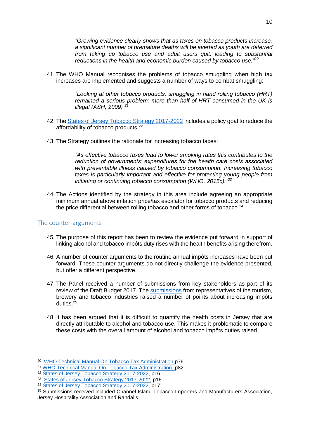*"Growing evidence clearly shows that as taxes on tobacco products increase, a significant number of premature deaths will be averted as youth are deterred from taking up tobacco use and adult users quit, leading to substantial reductions in the health and economic burden caused by tobacco use." 20*

41. The WHO Manual recognises the problems of tobacco smuggling when high tax increases are implemented and suggests a number of ways to combat smuggling:

> *"Looking at other tobacco products, smuggling in hand rolling tobacco (HRT) remained a serious problem: more than half of HRT consumed in the UK is illegal (ASH, 2009)"<sup>21</sup>*

- 42. The States of Jersey [Tobacco Strategy](http://www.statesassembly.gov.je/assemblyreports/2016/r.129-2016.pdf) 2017-2022 includes a policy goal to reduce the affordability of tobacco products.<sup>22</sup>
- 43. The Strategy outlines the rationale for increasing tobacco taxes:

*"As effective tobacco taxes lead to lower smoking rates this contributes to the reduction of governments' expenditures for the health care costs associated with preventable illness caused by tobacco consumption. Increasing tobacco taxes is particularly important and effective for protecting young people from initiating or continuing tobacco consumption (WHO, 2015c)." 23*

44. The Actions identified by the strategy in this area include agreeing an appropriate minimum annual above inflation price/tax escalator for tobacco products and reducing the price differential between rolling tobacco and other forms of tobacco.<sup>24</sup>

### <span id="page-12-0"></span>The counter-arguments

- 45. The purpose of this report has been to review the evidence put forward in support of linking alcohol and tobacco impôts duty rises with the health benefits arising therefrom.
- 46. A number of counter arguments to the routine annual impôts increases have been put forward. These counter arguments do not directly challenge the evidence presented, but offer a different perspective.
- 47. The Panel received a number of submissions from key stakeholders as part of its review of the Draft Budget 2017. The [submissions](http://www.scrutiny.gov.je/Pages/ReviewSubmissions.aspx?ReviewId=252) from representatives of the tourism, brewery and tobacco industries raised a number of points about increasing impôts duties. $^{25}$
- 48. It has been argued that it is difficult to quantify the health costs in Jersey that are directly attributable to alcohol and tobacco use. This makes it problematic to compare these costs with the overall amount of alcohol and tobacco impôts duties raised.

<sup>20</sup> [WHO Technical Manual On Tobacco Tax Administration,](http://apps.who.int/iris/bitstream/10665/44316/1/9789241563994_eng.pdf)p76

<sup>21</sup> [WHO Technical Manual On Tobacco Tax Administration,](http://apps.who.int/iris/bitstream/10665/44316/1/9789241563994_eng.pdf) p82

<sup>&</sup>lt;sup>22</sup> [States of Jersey Tobacco Strategy 2017-2022,](http://www.statesassembly.gov.je/assemblyreports/2016/r.129-2016.pdf) p16

<sup>23</sup> [States of Jersey Tobacco Strategy 2017-2022,](http://www.statesassembly.gov.je/assemblyreports/2016/r.129-2016.pdf) p16

<sup>&</sup>lt;sup>24</sup> [States of Jersey Tobacco Strategy 2017-2022,](http://www.statesassembly.gov.je/assemblyreports/2016/r.129-2016.pdf) p17

<sup>&</sup>lt;sup>25</sup> Submissions received included Channel Island Tobacco Importers and Manufacturers Association, Jersey Hospitality Association and Randalls.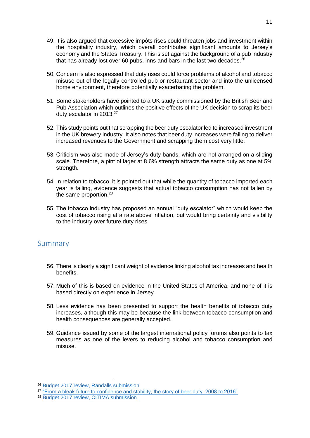- 49. It is also argued that excessive impôts rises could threaten jobs and investment within the hospitality industry, which overall contributes significant amounts to Jersey's economy and the States Treasury. This is set against the background of a pub industry that has already lost over 60 pubs, inns and bars in the last two decades. $26$
- 50. Concern is also expressed that duty rises could force problems of alcohol and tobacco misuse out of the legally controlled pub or restaurant sector and into the unlicensed home environment, therefore potentially exacerbating the problem.
- 51. Some stakeholders have pointed to a UK study commissioned by the British Beer and Pub Association which outlines the positive effects of the UK decision to scrap its beer duty escalator in 2013.<sup>27</sup>
- 52. This study points out that scrapping the beer duty escalator led to increased investment in the UK brewery industry. It also notes that beer duty increases were failing to deliver increased revenues to the Government and scrapping them cost very little.
- 53. Criticism was also made of Jersey's duty bands, which are not arranged on a sliding scale. Therefore, a pint of lager at 8.6% strength attracts the same duty as one at 5% strength.
- 54. In relation to tobacco, it is pointed out that while the quantity of tobacco imported each year is falling, evidence suggests that actual tobacco consumption has not fallen by the same proportion.<sup>28</sup>
- 55. The tobacco industry has proposed an annual "duty escalator" which would keep the cost of tobacco rising at a rate above inflation, but would bring certainty and visibility to the industry over future duty rises.

## <span id="page-13-0"></span>Summary

- 56. There is clearly a significant weight of evidence linking alcohol tax increases and health benefits.
- 57. Much of this is based on evidence in the United States of America, and none of it is based directly on experience in Jersey.
- 58. Less evidence has been presented to support the health benefits of tobacco duty increases, although this may be because the link between tobacco consumption and health consequences are generally accepted.
- 59. Guidance issued by some of the largest international policy forums also points to tax measures as one of the levers to reducing alcohol and tobacco consumption and misuse.

<sup>26</sup> [Budget 2017 review, Randalls submission](http://www.statesassembly.gov.je/scrutinyreviewsubmissions/submissions%20-%20randalls%20-%20budget%202017%20-%2015%20november%202016.pdf)

<sup>&</sup>lt;sup>27</sup> ["From a bleak future to confidence and stability, the story of beer duty: 2008 to 2016"](http://www.statesassembly.gov.je/scrutinyreviewsubmissions/submissions%20-%20budget%202017%20-%20jersey%20hospitality%20association%20appendix%20-%2018%20november%202016.pdf)

<sup>28</sup> [Budget 2017 review, CITIMA submission](http://www.statesassembly.gov.je/scrutinyreviewsubmissions/submissions%20-%20citima%20-%20budget%202017%20-%2011%20november%202016.pdf)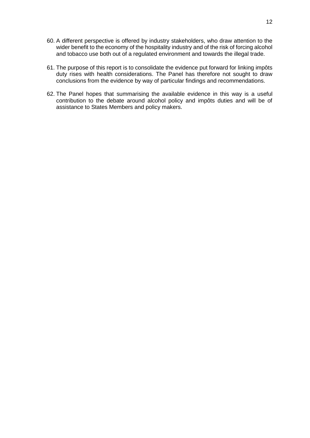- 60. A different perspective is offered by industry stakeholders, who draw attention to the wider benefit to the economy of the hospitality industry and of the risk of forcing alcohol and tobacco use both out of a regulated environment and towards the illegal trade.
- 61. The purpose of this report is to consolidate the evidence put forward for linking impôts duty rises with health considerations. The Panel has therefore not sought to draw conclusions from the evidence by way of particular findings and recommendations.
- 62. The Panel hopes that summarising the available evidence in this way is a useful contribution to the debate around alcohol policy and impôts duties and will be of assistance to States Members and policy makers.